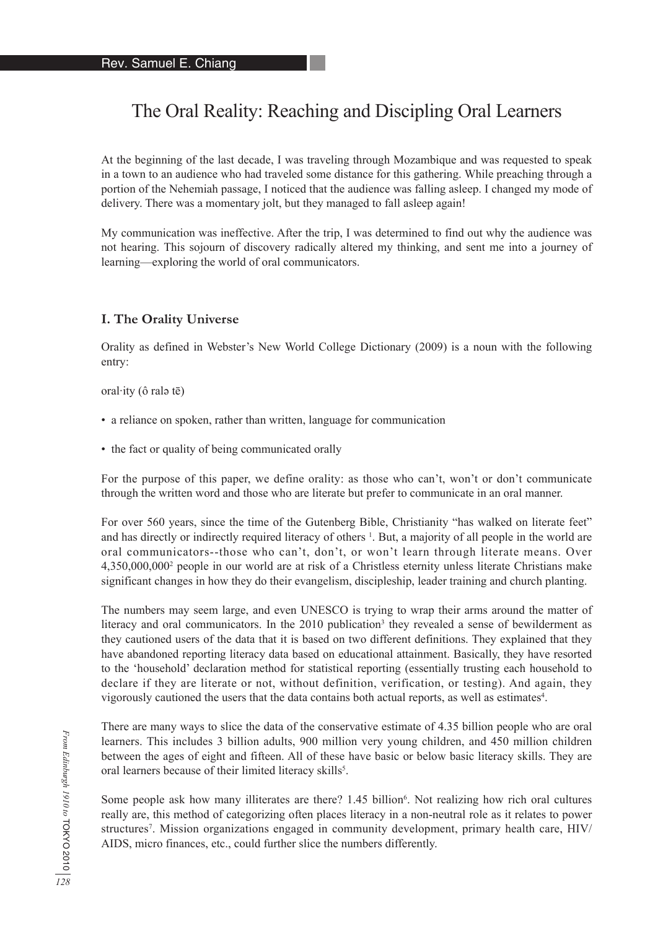# The Oral Reality: Reaching and Discipling Oral Learners

At the beginning of the last decade, I was traveling through Mozambique and was requested to speak in a town to an audience who had traveled some distance for this gathering. While preaching through a portion of the Nehemiah passage, I noticed that the audience was falling asleep. I changed my mode of delivery. There was a momentary jolt, but they managed to fall asleep again!

My communication was ineffective. After the trip, I was determined to find out why the audience was not hearing. This sojourn of discovery radically altered my thinking, and sent me into a journey of learning—exploring the world of oral communicators.

#### **I. The Orality Universe**

Orality as defined in Webster's New World College Dictionary (2009) is a noun with the following entry:

oral·ity (ô ralə tē)

- a reliance on spoken, rather than written, language for communication
- the fact or quality of being communicated orally

For the purpose of this paper, we define orality: as those who can't, won't or don't communicate through the written word and those who are literate but prefer to communicate in an oral manner.

For over 560 years, since the time of the Gutenberg Bible, Christianity "has walked on literate feet" and has directly or indirectly required literacy of others <sup>1</sup>. But, a majority of all people in the world are oral communicators--those who can't, don't, or won't learn through literate means. Over 4,350,000,0002 people in our world are at risk of a Christless eternity unless literate Christians make significant changes in how they do their evangelism, discipleship, leader training and church planting.

The numbers may seem large, and even UNESCO is trying to wrap their arms around the matter of literacy and oral communicators. In the 2010 publication<sup>3</sup> they revealed a sense of bewilderment as they cautioned users of the data that it is based on two different definitions. They explained that they have abandoned reporting literacy data based on educational attainment. Basically, they have resorted to the 'household' declaration method for statistical reporting (essentially trusting each household to declare if they are literate or not, without definition, verification, or testing). And again, they vigorously cautioned the users that the data contains both actual reports, as well as estimates<sup>4</sup>.

There are many ways to slice the data of the conservative estimate of 4.35 billion people who are oral learners. This includes 3 billion adults, 900 million very young children, and 450 million children between the ages of eight and fifteen. All of these have basic or below basic literacy skills. They are oral learners because of their limited literacy skills<sup>5</sup>.

Some people ask how many illiterates are there? 1.45 billion<sup>6</sup>. Not realizing how rich oral cultures really are, this method of categorizing often places literacy in a non-neutral role as it relates to power structures<sup>7</sup>. Mission organizations engaged in community development, primary health care, HIV/ AIDS, micro finances, etc., could further slice the numbers differently.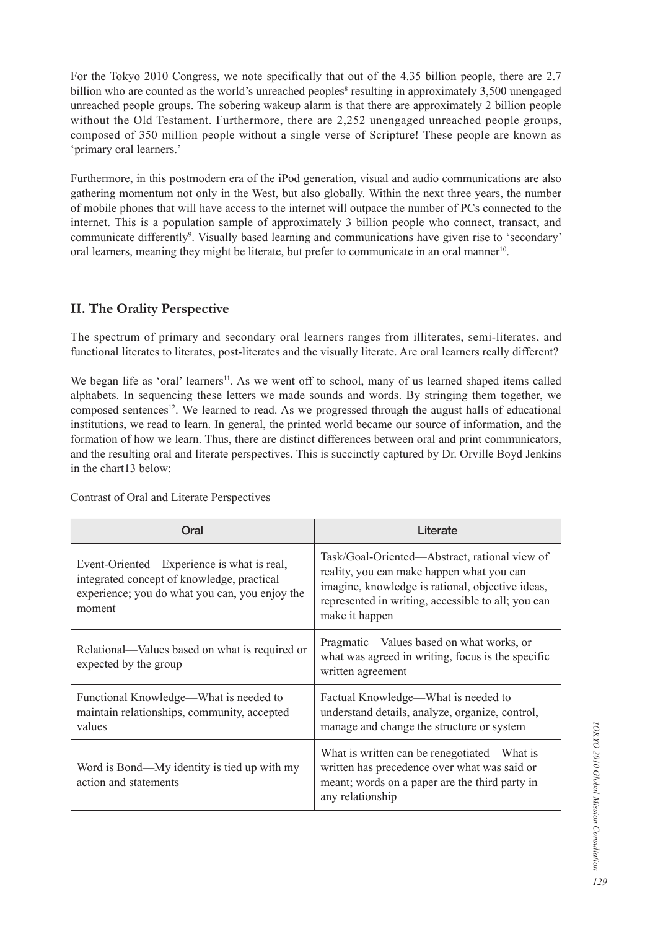For the Tokyo 2010 Congress, we note specifically that out of the 4.35 billion people, there are 2.7 billion who are counted as the world's unreached peoples<sup>8</sup> resulting in approximately 3,500 unengaged unreached people groups. The sobering wakeup alarm is that there are approximately 2 billion people without the Old Testament. Furthermore, there are 2,252 unengaged unreached people groups, composed of 350 million people without a single verse of Scripture! These people are known as 'primary oral learners.'

Furthermore, in this postmodern era of the iPod generation, visual and audio communications are also gathering momentum not only in the West, but also globally. Within the next three years, the number of mobile phones that will have access to the internet will outpace the number of PCs connected to the internet. This is a population sample of approximately 3 billion people who connect, transact, and communicate differently<sup>9</sup>. Visually based learning and communications have given rise to 'secondary' oral learners, meaning they might be literate, but prefer to communicate in an oral manner<sup>10</sup>.

#### **II. The Orality Perspective**

The spectrum of primary and secondary oral learners ranges from illiterates, semi-literates, and functional literates to literates, post-literates and the visually literate. Are oral learners really different?

We began life as 'oral' learners<sup>11</sup>. As we went off to school, many of us learned shaped items called alphabets. In sequencing these letters we made sounds and words. By stringing them together, we composed sentences<sup>12</sup>. We learned to read. As we progressed through the august halls of educational institutions, we read to learn. In general, the printed world became our source of information, and the formation of how we learn. Thus, there are distinct differences between oral and print communicators, and the resulting oral and literate perspectives. This is succinctly captured by Dr. Orville Boyd Jenkins in the chart13 below:

| Oral                                                                                                                                                 | Literate                                                                                                                                                                                                               |
|------------------------------------------------------------------------------------------------------------------------------------------------------|------------------------------------------------------------------------------------------------------------------------------------------------------------------------------------------------------------------------|
| Event-Oriented-Experience is what is real,<br>integrated concept of knowledge, practical<br>experience; you do what you can, you enjoy the<br>moment | Task/Goal-Oriented—Abstract, rational view of<br>reality, you can make happen what you can<br>imagine, knowledge is rational, objective ideas,<br>represented in writing, accessible to all; you can<br>make it happen |
| Relational—Values based on what is required or<br>expected by the group                                                                              | Pragmatic—Values based on what works, or<br>what was agreed in writing, focus is the specific<br>written agreement                                                                                                     |
| Functional Knowledge—What is needed to<br>maintain relationships, community, accepted<br>values                                                      | Factual Knowledge—What is needed to<br>understand details, analyze, organize, control,<br>manage and change the structure or system                                                                                    |
| Word is Bond—My identity is tied up with my<br>action and statements                                                                                 | What is written can be renegotiated—What is<br>written has precedence over what was said or<br>meant; words on a paper are the third party in<br>any relationship                                                      |

Contrast of Oral and Literate Perspectives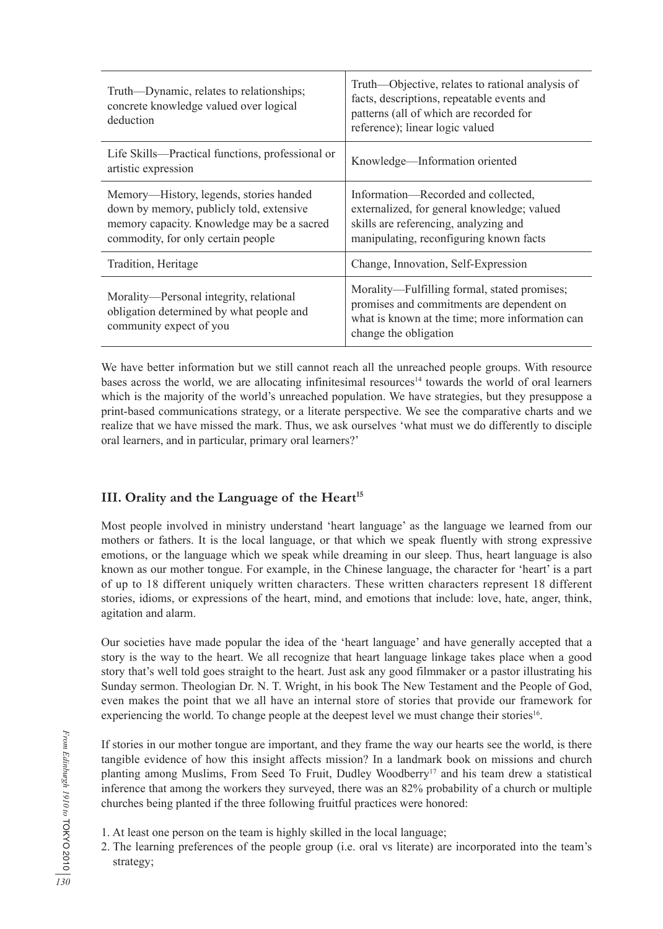| Truth—Dynamic, relates to relationships;<br>concrete knowledge valued over logical<br>deduction                                                                         | Truth—Objective, relates to rational analysis of<br>facts, descriptions, repeatable events and<br>patterns (all of which are recorded for<br>reference); linear logic valued |
|-------------------------------------------------------------------------------------------------------------------------------------------------------------------------|------------------------------------------------------------------------------------------------------------------------------------------------------------------------------|
| Life Skills—Practical functions, professional or<br>artistic expression                                                                                                 | Knowledge—Information oriented                                                                                                                                               |
| Memory—History, legends, stories handed<br>down by memory, publicly told, extensive<br>memory capacity. Knowledge may be a sacred<br>commodity, for only certain people | Information—Recorded and collected,<br>externalized, for general knowledge; valued<br>skills are referencing, analyzing and<br>manipulating, reconfiguring known facts       |
| Tradition, Heritage                                                                                                                                                     | Change, Innovation, Self-Expression                                                                                                                                          |
| Morality—Personal integrity, relational<br>obligation determined by what people and<br>community expect of you                                                          | Morality—Fulfilling formal, stated promises;<br>promises and commitments are dependent on<br>what is known at the time; more information can<br>change the obligation        |

We have better information but we still cannot reach all the unreached people groups. With resource bases across the world, we are allocating infinitesimal resources<sup>14</sup> towards the world of oral learners which is the majority of the world's unreached population. We have strategies, but they presuppose a print-based communications strategy, or a literate perspective. We see the comparative charts and we realize that we have missed the mark. Thus, we ask ourselves 'what must we do differently to disciple oral learners, and in particular, primary oral learners?'

## **III. Orality and the Language of the Heart<sup>15</sup>**

Most people involved in ministry understand 'heart language' as the language we learned from our mothers or fathers. It is the local language, or that which we speak fluently with strong expressive emotions, or the language which we speak while dreaming in our sleep. Thus, heart language is also known as our mother tongue. For example, in the Chinese language, the character for 'heart' is a part of up to 18 different uniquely written characters. These written characters represent 18 different stories, idioms, or expressions of the heart, mind, and emotions that include: love, hate, anger, think, agitation and alarm.

Our societies have made popular the idea of the 'heart language' and have generally accepted that a story is the way to the heart. We all recognize that heart language linkage takes place when a good story that's well told goes straight to the heart. Just ask any good filmmaker or a pastor illustrating his Sunday sermon. Theologian Dr. N. T. Wright, in his book The New Testament and the People of God, even makes the point that we all have an internal store of stories that provide our framework for experiencing the world. To change people at the deepest level we must change their stories<sup>16</sup>.

If stories in our mother tongue are important, and they frame the way our hearts see the world, is there tangible evidence of how this insight affects mission? In a landmark book on missions and church planting among Muslims, From Seed To Fruit, Dudley Woodberry<sup>17</sup> and his team drew a statistical inference that among the workers they surveyed, there was an 82% probability of a church or multiple churches being planted if the three following fruitful practices were honored:

- 1. At least one person on the team is highly skilled in the local language;
- 2. The learning preferences of the people group (i.e. oral vs literate) are incorporated into the team's strategy;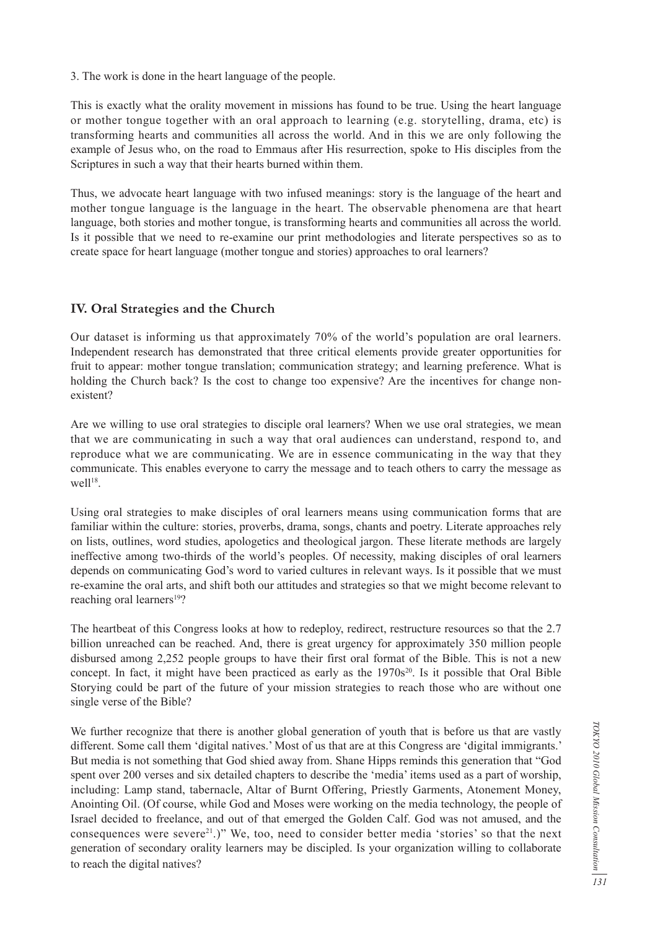3. The work is done in the heart language of the people.

This is exactly what the orality movement in missions has found to be true. Using the heart language or mother tongue together with an oral approach to learning (e.g. storytelling, drama, etc) is transforming hearts and communities all across the world. And in this we are only following the example of Jesus who, on the road to Emmaus after His resurrection, spoke to His disciples from the Scriptures in such a way that their hearts burned within them.

Thus, we advocate heart language with two infused meanings: story is the language of the heart and mother tongue language is the language in the heart. The observable phenomena are that heart language, both stories and mother tongue, is transforming hearts and communities all across the world. Is it possible that we need to re-examine our print methodologies and literate perspectives so as to create space for heart language (mother tongue and stories) approaches to oral learners?

#### **IV. Oral Strategies and the Church**

Our dataset is informing us that approximately 70% of the world's population are oral learners. Independent research has demonstrated that three critical elements provide greater opportunities for fruit to appear: mother tongue translation; communication strategy; and learning preference. What is holding the Church back? Is the cost to change too expensive? Are the incentives for change nonexistent?

Are we willing to use oral strategies to disciple oral learners? When we use oral strategies, we mean that we are communicating in such a way that oral audiences can understand, respond to, and reproduce what we are communicating. We are in essence communicating in the way that they communicate. This enables everyone to carry the message and to teach others to carry the message as  $well<sup>18</sup>$ .

Using oral strategies to make disciples of oral learners means using communication forms that are familiar within the culture: stories, proverbs, drama, songs, chants and poetry. Literate approaches rely on lists, outlines, word studies, apologetics and theological jargon. These literate methods are largely ineffective among two-thirds of the world's peoples. Of necessity, making disciples of oral learners depends on communicating God's word to varied cultures in relevant ways. Is it possible that we must re-examine the oral arts, and shift both our attitudes and strategies so that we might become relevant to reaching oral learners<sup>19</sup>?

The heartbeat of this Congress looks at how to redeploy, redirect, restructure resources so that the 2.7 billion unreached can be reached. And, there is great urgency for approximately 350 million people disbursed among 2,252 people groups to have their first oral format of the Bible. This is not a new concept. In fact, it might have been practiced as early as the 1970s<sup>20</sup>. Is it possible that Oral Bible Storying could be part of the future of your mission strategies to reach those who are without one single verse of the Bible?

We further recognize that there is another global generation of youth that is before us that are vastly different. Some call them 'digital natives.' Most of us that are at this Congress are 'digital immigrants.' But media is not something that God shied away from. Shane Hipps reminds this generation that "God spent over 200 verses and six detailed chapters to describe the 'media' items used as a part of worship, including: Lamp stand, tabernacle, Altar of Burnt Offering, Priestly Garments, Atonement Money, Anointing Oil. (Of course, while God and Moses were working on the media technology, the people of Israel decided to freelance, and out of that emerged the Golden Calf. God was not amused, and the consequences were severe<sup>21</sup>.)" We, too, need to consider better media 'stories' so that the next generation of secondary orality learners may be discipled. Is your organization willing to collaborate to reach the digital natives?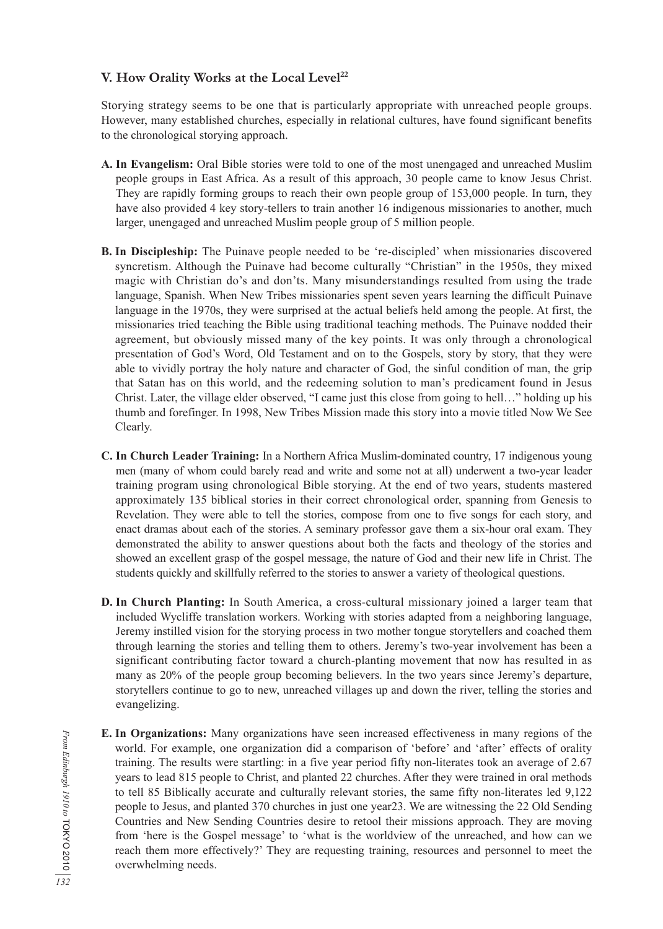### V. How Orality Works at the Local Level<sup>22</sup>

Storying strategy seems to be one that is particularly appropriate with unreached people groups. However, many established churches, especially in relational cultures, have found significant benefits to the chronological storying approach.

- **A. In Evangelism:** Oral Bible stories were told to one of the most unengaged and unreached Muslim people groups in East Africa. As a result of this approach, 30 people came to know Jesus Christ. They are rapidly forming groups to reach their own people group of 153,000 people. In turn, they have also provided 4 key story-tellers to train another 16 indigenous missionaries to another, much larger, unengaged and unreached Muslim people group of 5 million people.
- **B. In Discipleship:** The Puinave people needed to be 're-discipled' when missionaries discovered syncretism. Although the Puinave had become culturally "Christian" in the 1950s, they mixed magic with Christian do's and don'ts. Many misunderstandings resulted from using the trade language, Spanish. When New Tribes missionaries spent seven years learning the difficult Puinave language in the 1970s, they were surprised at the actual beliefs held among the people. At first, the missionaries tried teaching the Bible using traditional teaching methods. The Puinave nodded their agreement, but obviously missed many of the key points. It was only through a chronological presentation of God's Word, Old Testament and on to the Gospels, story by story, that they were able to vividly portray the holy nature and character of God, the sinful condition of man, the grip that Satan has on this world, and the redeeming solution to man's predicament found in Jesus Christ. Later, the village elder observed, "I came just this close from going to hell…" holding up his thumb and forefinger. In 1998, New Tribes Mission made this story into a movie titled Now We See Clearly.
- **C. In Church Leader Training:** In a Northern Africa Muslim-dominated country, 17 indigenous young men (many of whom could barely read and write and some not at all) underwent a two-year leader training program using chronological Bible storying. At the end of two years, students mastered approximately 135 biblical stories in their correct chronological order, spanning from Genesis to Revelation. They were able to tell the stories, compose from one to five songs for each story, and enact dramas about each of the stories. A seminary professor gave them a six-hour oral exam. They demonstrated the ability to answer questions about both the facts and theology of the stories and showed an excellent grasp of the gospel message, the nature of God and their new life in Christ. The students quickly and skillfully referred to the stories to answer a variety of theological questions.
- **D. In Church Planting:** In South America, a cross-cultural missionary joined a larger team that included Wycliffe translation workers. Working with stories adapted from a neighboring language, Jeremy instilled vision for the storying process in two mother tongue storytellers and coached them through learning the stories and telling them to others. Jeremy's two-year involvement has been a significant contributing factor toward a church-planting movement that now has resulted in as many as 20% of the people group becoming believers. In the two years since Jeremy's departure, storytellers continue to go to new, unreached villages up and down the river, telling the stories and evangelizing.
- **E. In Organizations:** Many organizations have seen increased effectiveness in many regions of the world. For example, one organization did a comparison of 'before' and 'after' effects of orality training. The results were startling: in a five year period fifty non-literates took an average of 2.67 years to lead 815 people to Christ, and planted 22 churches. After they were trained in oral methods to tell 85 Biblically accurate and culturally relevant stories, the same fifty non-literates led 9,122 people to Jesus, and planted 370 churches in just one year23. We are witnessing the 22 Old Sending Countries and New Sending Countries desire to retool their missions approach. They are moving from 'here is the Gospel message' to 'what is the worldview of the unreached, and how can we reach them more effectively?' They are requesting training, resources and personnel to meet the overwhelming needs.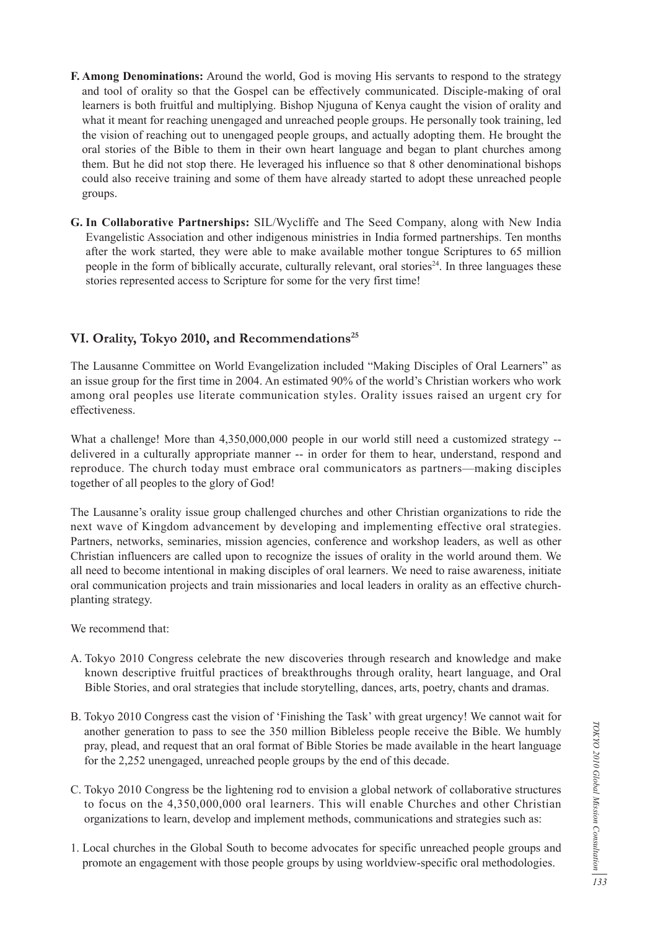- **F. Among Denominations:** Around the world, God is moving His servants to respond to the strategy and tool of orality so that the Gospel can be effectively communicated. Disciple-making of oral learners is both fruitful and multiplying. Bishop Njuguna of Kenya caught the vision of orality and what it meant for reaching unengaged and unreached people groups. He personally took training, led the vision of reaching out to unengaged people groups, and actually adopting them. He brought the oral stories of the Bible to them in their own heart language and began to plant churches among them. But he did not stop there. He leveraged his influence so that 8 other denominational bishops could also receive training and some of them have already started to adopt these unreached people groups.
- **G. In Collaborative Partnerships:** SIL/Wycliffe and The Seed Company, along with New India Evangelistic Association and other indigenous ministries in India formed partnerships. Ten months after the work started, they were able to make available mother tongue Scriptures to 65 million people in the form of biblically accurate, culturally relevant, oral stories<sup>24</sup>. In three languages these stories represented access to Scripture for some for the very first time!

#### VI. Orality, Tokyo 2010, and Recommendations<sup>25</sup>

The Lausanne Committee on World Evangelization included "Making Disciples of Oral Learners" as an issue group for the first time in 2004. An estimated 90% of the world's Christian workers who work among oral peoples use literate communication styles. Orality issues raised an urgent cry for effectiveness.

What a challenge! More than 4,350,000,000 people in our world still need a customized strategy - delivered in a culturally appropriate manner -- in order for them to hear, understand, respond and reproduce. The church today must embrace oral communicators as partners—making disciples together of all peoples to the glory of God!

The Lausanne's orality issue group challenged churches and other Christian organizations to ride the next wave of Kingdom advancement by developing and implementing effective oral strategies. Partners, networks, seminaries, mission agencies, conference and workshop leaders, as well as other Christian influencers are called upon to recognize the issues of orality in the world around them. We all need to become intentional in making disciples of oral learners. We need to raise awareness, initiate oral communication projects and train missionaries and local leaders in orality as an effective churchplanting strategy.

We recommend that:

- A. Tokyo 2010 Congress celebrate the new discoveries through research and knowledge and make known descriptive fruitful practices of breakthroughs through orality, heart language, and Oral Bible Stories, and oral strategies that include storytelling, dances, arts, poetry, chants and dramas.
- B. Tokyo 2010 Congress cast the vision of 'Finishing the Task' with great urgency! We cannot wait for another generation to pass to see the 350 million Bibleless people receive the Bible. We humbly pray, plead, and request that an oral format of Bible Stories be made available in the heart language for the 2,252 unengaged, unreached people groups by the end of this decade.
- C. Tokyo 2010 Congress be the lightening rod to envision a global network of collaborative structures to focus on the 4,350,000,000 oral learners. This will enable Churches and other Christian organizations to learn, develop and implement methods, communications and strategies such as:
- 1. Local churches in the Global South to become advocates for specific unreached people groups and promote an engagement with those people groups by using worldview-specific oral methodologies.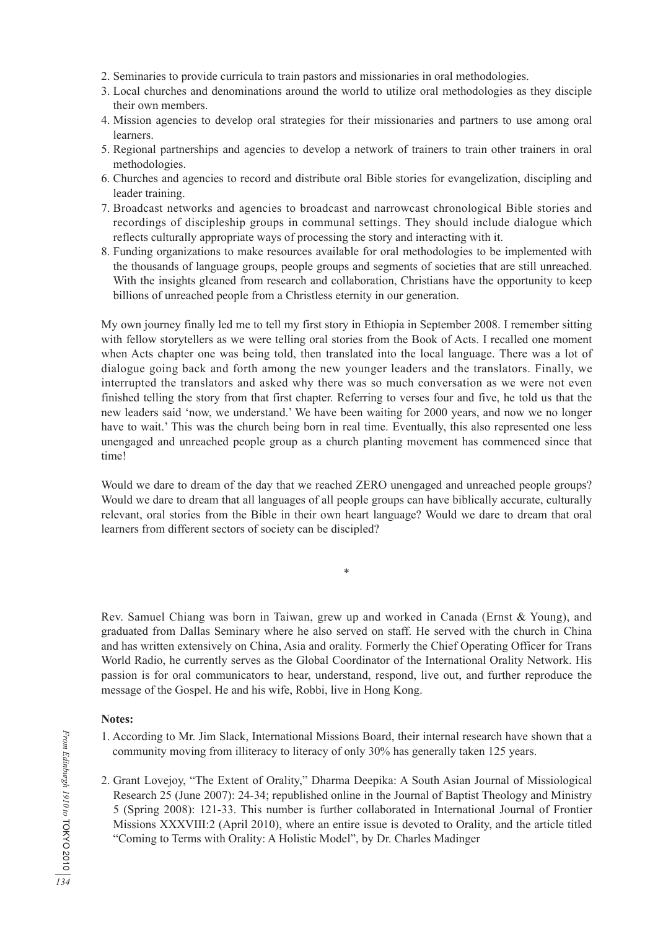- 2. Seminaries to provide curricula to train pastors and missionaries in oral methodologies.
- 3. Local churches and denominations around the world to utilize oral methodologies as they disciple their own members.
- 4. Mission agencies to develop oral strategies for their missionaries and partners to use among oral learners.
- 5. Regional partnerships and agencies to develop a network of trainers to train other trainers in oral methodologies.
- 6. Churches and agencies to record and distribute oral Bible stories for evangelization, discipling and leader training.
- 7. Broadcast networks and agencies to broadcast and narrowcast chronological Bible stories and recordings of discipleship groups in communal settings. They should include dialogue which reflects culturally appropriate ways of processing the story and interacting with it.
- 8. Funding organizations to make resources available for oral methodologies to be implemented with the thousands of language groups, people groups and segments of societies that are still unreached. With the insights gleaned from research and collaboration, Christians have the opportunity to keep billions of unreached people from a Christless eternity in our generation.

My own journey finally led me to tell my first story in Ethiopia in September 2008. I remember sitting with fellow storytellers as we were telling oral stories from the Book of Acts. I recalled one moment when Acts chapter one was being told, then translated into the local language. There was a lot of dialogue going back and forth among the new younger leaders and the translators. Finally, we interrupted the translators and asked why there was so much conversation as we were not even finished telling the story from that first chapter. Referring to verses four and five, he told us that the new leaders said 'now, we understand.' We have been waiting for 2000 years, and now we no longer have to wait.' This was the church being born in real time. Eventually, this also represented one less unengaged and unreached people group as a church planting movement has commenced since that time!

Would we dare to dream of the day that we reached ZERO unengaged and unreached people groups? Would we dare to dream that all languages of all people groups can have biblically accurate, culturally relevant, oral stories from the Bible in their own heart language? Would we dare to dream that oral learners from different sectors of society can be discipled?

\*

Rev. Samuel Chiang was born in Taiwan, grew up and worked in Canada (Ernst & Young), and graduated from Dallas Seminary where he also served on staff. He served with the church in China and has written extensively on China, Asia and orality. Formerly the Chief Operating Officer for Trans World Radio, he currently serves as the Global Coordinator of the International Orality Network. His passion is for oral communicators to hear, understand, respond, live out, and further reproduce the message of the Gospel. He and his wife, Robbi, live in Hong Kong.

#### **Notes:**

- 1. According to Mr. Jim Slack, International Missions Board, their internal research have shown that a community moving from illiteracy to literacy of only 30% has generally taken 125 years.
- 2. Grant Lovejoy, "The Extent of Orality," Dharma Deepika: A South Asian Journal of Missiological Research 25 (June 2007): 24-34; republished online in the Journal of Baptist Theology and Ministry 5 (Spring 2008): 121-33. This number is further collaborated in International Journal of Frontier Missions XXXVIII:2 (April 2010), where an entire issue is devoted to Orality, and the article titled "Coming to Terms with Orality: A Holistic Model", by Dr. Charles Madinger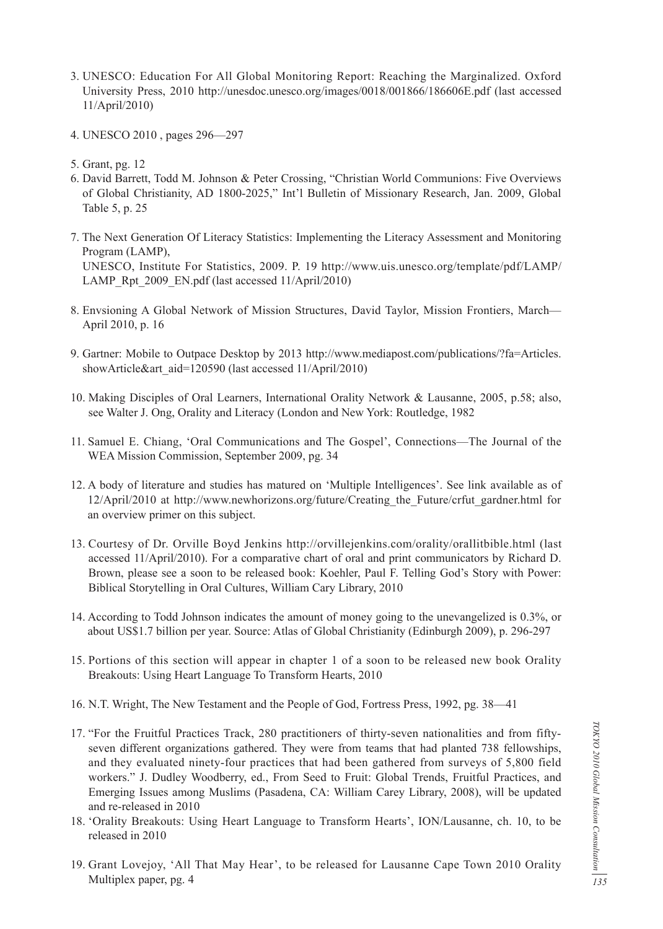- 3. UNESCO: Education For All Global Monitoring Report: Reaching the Marginalized. Oxford University Press, 2010 http://unesdoc.unesco.org/images/0018/001866/186606E.pdf (last accessed 11/April/2010)
- 4. UNESCO 2010 , pages 296—297
- 5. Grant, pg. 12
- 6. David Barrett, Todd M. Johnson & Peter Crossing, "Christian World Communions: Five Overviews of Global Christianity, AD 1800-2025," Int'l Bulletin of Missionary Research, Jan. 2009, Global Table 5, p. 25
- 7. The Next Generation Of Literacy Statistics: Implementing the Literacy Assessment and Monitoring Program (LAMP), UNESCO, Institute For Statistics, 2009. P. 19 http://www.uis.unesco.org/template/pdf/LAMP/ LAMP\_Rpt\_2009\_EN.pdf (last accessed 11/April/2010)
- 8. Envsioning A Global Network of Mission Structures, David Taylor, Mission Frontiers, March— April 2010, p. 16
- 9. Gartner: Mobile to Outpace Desktop by 2013 http://www.mediapost.com/publications/?fa=Articles. showArticle&art\_aid=120590 (last accessed 11/April/2010)
- 10. Making Disciples of Oral Learners, International Orality Network & Lausanne, 2005, p.58; also, see Walter J. Ong, Orality and Literacy (London and New York: Routledge, 1982
- 11. Samuel E. Chiang, 'Oral Communications and The Gospel', Connections—The Journal of the WEA Mission Commission, September 2009, pg. 34
- 12. A body of literature and studies has matured on 'Multiple Intelligences'. See link available as of 12/April/2010 at http://www.newhorizons.org/future/Creating\_the\_Future/crfut\_gardner.html for an overview primer on this subject.
- 13. Courtesy of Dr. Orville Boyd Jenkins http://orvillejenkins.com/orality/orallitbible.html (last accessed 11/April/2010). For a comparative chart of oral and print communicators by Richard D. Brown, please see a soon to be released book: Koehler, Paul F. Telling God's Story with Power: Biblical Storytelling in Oral Cultures, William Cary Library, 2010
- 14. According to Todd Johnson indicates the amount of money going to the unevangelized is 0.3%, or about US\$1.7 billion per year. Source: Atlas of Global Christianity (Edinburgh 2009), p. 296-297
- 15. Portions of this section will appear in chapter 1 of a soon to be released new book Orality Breakouts: Using Heart Language To Transform Hearts, 2010
- 16. N.T. Wright, The New Testament and the People of God, Fortress Press, 1992, pg. 38—41
- 17. "For the Fruitful Practices Track, 280 practitioners of thirty-seven nationalities and from fiftyseven different organizations gathered. They were from teams that had planted 738 fellowships, and they evaluated ninety-four practices that had been gathered from surveys of 5,800 field workers." J. Dudley Woodberry, ed., From Seed to Fruit: Global Trends, Fruitful Practices, and Emerging Issues among Muslims (Pasadena, CA: William Carey Library, 2008), will be updated and re-released in 2010
- 18. 'Orality Breakouts: Using Heart Language to Transform Hearts', ION/Lausanne, ch. 10, to be released in 2010
- 19. Grant Lovejoy, 'All That May Hear', to be released for Lausanne Cape Town 2010 Orality Multiplex paper, pg. 4